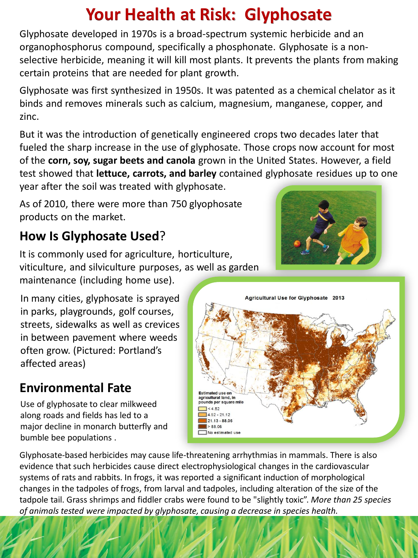# **Your Health at Risk: Glyphosate**

Glyphosate developed in 1970s is a broad-spectrum systemic herbicide and an organophosphorus compound, specifically a phosphonate. Glyphosate is a nonselective herbicide, meaning it will kill most plants. It prevents the plants from making certain proteins that are needed for plant growth.

Glyphosate was first synthesized in 1950s. It was patented as a chemical chelator as it binds and removes minerals such as calcium, magnesium, manganese, copper, and zinc.

But it was the introduction of genetically engineered crops two decades later that fueled the sharp increase in the use of glyphosate. Those crops now account for most of the **corn, soy, sugar beets and canola** grown in the United States. However, a field test showed that **lettuce, carrots, and barley** contained glyphosate residues up to one year after the soil was treated with glyphosate.

As of 2010, there were more than 750 glyophosate products on the market.

# **How Is Glyphosate Used**?

It is commonly used for agriculture, horticulture, viticulture, and silviculture purposes, as well as garden maintenance (including home use).

In many cities, glyphosate is sprayed in parks, playgrounds, golf courses, streets, sidewalks as well as crevices in between pavement where weeds often grow. (Pictured: Portland's affected areas)

## **Environmental Fate**

Use of glyphosate to clear milkweed along roads and fields has led to a major decline in monarch butterfly and bumble bee populations .





Glyphosate-based herbicides may cause life-threatening arrhythmias in mammals. There is also evidence that such herbicides cause direct electrophysiological changes in the cardiovascular systems of rats and rabbits. In frogs, it was reported a significant induction of morphological changes in the tadpoles of frogs, from larval and tadpoles, including alteration of the size of the tadpole tail. Grass shrimps and fiddler crabs were found to be "slightly toxic". *More than 25 species of animals tested were impacted by glyphosate, causing a decrease in species health.*